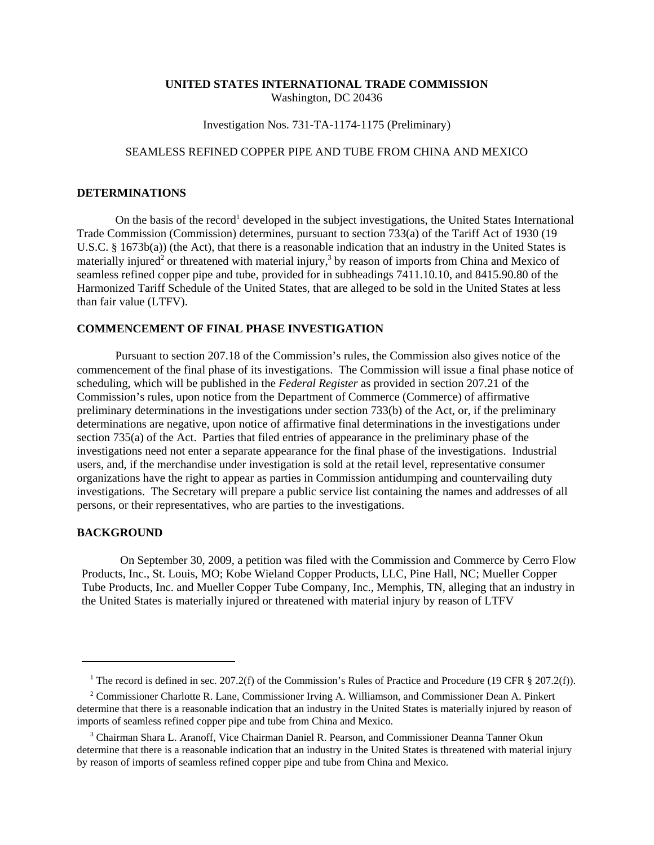### **UNITED STATES INTERNATIONAL TRADE COMMISSION** Washington, DC 20436

### Investigation Nos. 731-TA-1174-1175 (Preliminary)

# SEAMLESS REFINED COPPER PIPE AND TUBE FROM CHINA AND MEXICO

### **DETERMINATIONS**

On the basis of the record<sup>1</sup> developed in the subject investigations, the United States International Trade Commission (Commission) determines, pursuant to section 733(a) of the Tariff Act of 1930 (19 U.S.C. § 1673b(a)) (the Act), that there is a reasonable indication that an industry in the United States is materially injured<sup>2</sup> or threatened with material injury,<sup>3</sup> by reason of imports from China and Mexico of seamless refined copper pipe and tube, provided for in subheadings 7411.10.10, and 8415.90.80 of the Harmonized Tariff Schedule of the United States, that are alleged to be sold in the United States at less than fair value (LTFV).

## **COMMENCEMENT OF FINAL PHASE INVESTIGATION**

Pursuant to section 207.18 of the Commission's rules, the Commission also gives notice of the commencement of the final phase of its investigations. The Commission will issue a final phase notice of scheduling, which will be published in the *Federal Register* as provided in section 207.21 of the Commission's rules, upon notice from the Department of Commerce (Commerce) of affirmative preliminary determinations in the investigations under section 733(b) of the Act, or, if the preliminary determinations are negative, upon notice of affirmative final determinations in the investigations under section 735(a) of the Act. Parties that filed entries of appearance in the preliminary phase of the investigations need not enter a separate appearance for the final phase of the investigations. Industrial users, and, if the merchandise under investigation is sold at the retail level, representative consumer organizations have the right to appear as parties in Commission antidumping and countervailing duty investigations. The Secretary will prepare a public service list containing the names and addresses of all persons, or their representatives, who are parties to the investigations.

### **BACKGROUND**

On September 30, 2009, a petition was filed with the Commission and Commerce by Cerro Flow Products, Inc., St. Louis, MO; Kobe Wieland Copper Products, LLC, Pine Hall, NC; Mueller Copper Tube Products, Inc. and Mueller Copper Tube Company, Inc., Memphis, TN, alleging that an industry in the United States is materially injured or threatened with material injury by reason of LTFV

<sup>&</sup>lt;sup>1</sup> The record is defined in sec. 207.2(f) of the Commission's Rules of Practice and Procedure (19 CFR § 207.2(f)).

<sup>&</sup>lt;sup>2</sup> Commissioner Charlotte R. Lane, Commissioner Irving A. Williamson, and Commissioner Dean A. Pinkert determine that there is a reasonable indication that an industry in the United States is materially injured by reason of imports of seamless refined copper pipe and tube from China and Mexico.

<sup>&</sup>lt;sup>3</sup> Chairman Shara L. Aranoff, Vice Chairman Daniel R. Pearson, and Commissioner Deanna Tanner Okun determine that there is a reasonable indication that an industry in the United States is threatened with material injury by reason of imports of seamless refined copper pipe and tube from China and Mexico.